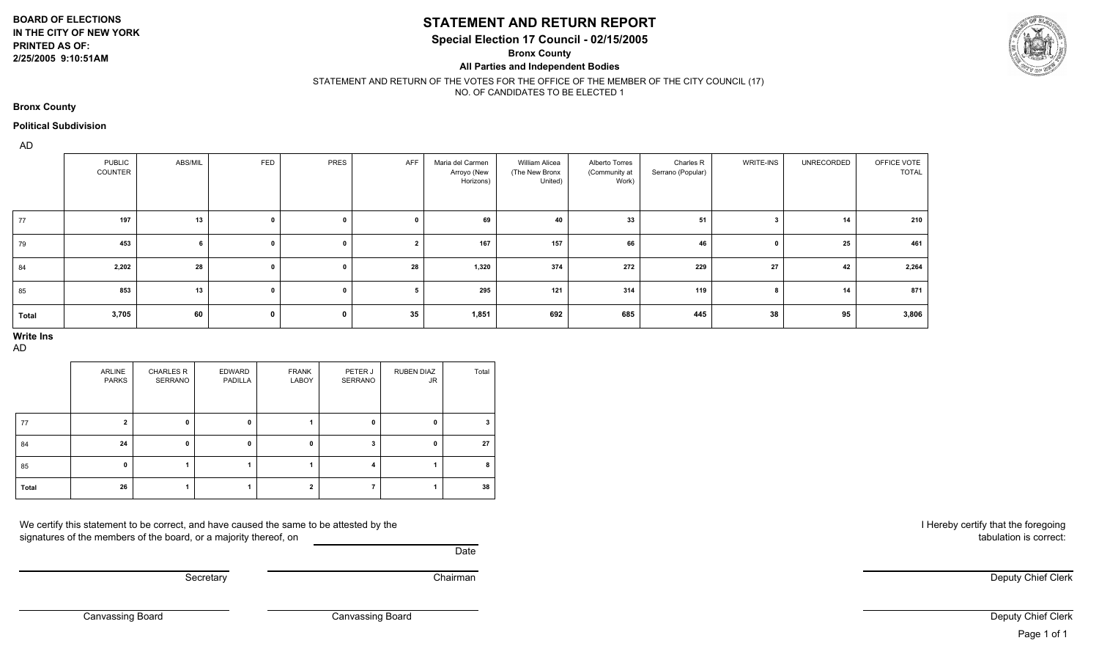**BOARD OF ELECTIONS**

#### **IN THE CITY OF NEW YORK PRINTED AS OF: 2/25/2005 9:10:51AM**

### **STATEMENT AND RETURN REPORT**

**Special Election 17 Council - 02/15/2005**

**Bronx County**

**All Parties and Independent Bodies**



#### STATEMENT AND RETURN OF THE VOTES FOR THE OFFICE OF THE MEMBER OF THE CITY COUNCIL (17) NO. OF CANDIDATES TO BE ELECTED 1

**Bronx County**

#### **Political Subdivision**

AD

|       | <b>PUBLIC</b><br><b>COUNTER</b> | ABS/MIL | FED          | PRES         | AFF            | Maria del Carmen<br>Arroyo (New<br>Horizons) | William Alicea<br>(The New Bronx<br>United) | Alberto Torres<br>(Community at<br>Work) | Charles R<br>Serrano (Popular) | <b>WRITE-INS</b> | UNRECORDED | OFFICE VOTE<br><b>TOTAL</b> |
|-------|---------------------------------|---------|--------------|--------------|----------------|----------------------------------------------|---------------------------------------------|------------------------------------------|--------------------------------|------------------|------------|-----------------------------|
| 77    | 197                             | 13      | $\mathbf{0}$ | $\mathbf{0}$ | 0              | 69                                           | 40                                          | 33                                       | 51                             |                  | 14         | 210                         |
| 79    | 453                             |         | $\mathbf{0}$ |              | $\overline{2}$ | 167                                          | 157                                         | 66                                       | 46                             |                  | 25         | 461                         |
| 84    | 2,202                           | 28      | $\mathbf{0}$ |              | 28             | 1,320                                        | 374                                         | 272                                      | 229                            | 27               | 42         | 2,264                       |
| 85    | 853                             | 13      | $\mathbf 0$  | $\mathbf 0$  | 5              | 295                                          | 121                                         | 314                                      | 119                            |                  | 14         | 871                         |
| Total | 3,705                           | 60      | $\mathbf 0$  | 0            | 35             | 1,851                                        | 692                                         | 685                                      | 445                            | 38               | 95         | 3,806                       |

# **Write Ins**

AD

|       | ARLINE<br><b>PARKS</b> | <b>CHARLES R</b><br>SERRANO | EDWARD<br>PADILLA | <b>FRANK</b><br>LABOY | PETER J<br>SERRANO | <b>RUBEN DIAZ</b><br><b>JR</b> | Total |
|-------|------------------------|-----------------------------|-------------------|-----------------------|--------------------|--------------------------------|-------|
| 77    |                        |                             | 0                 |                       |                    |                                |       |
| 84    | 24                     | n                           | 0                 |                       |                    |                                | 27    |
| 85    |                        |                             |                   |                       | 4                  |                                | 8     |
| Total | 26                     |                             |                   |                       |                    |                                | 38    |

We certify this statement to be correct, and have caused the same to be attested by the signatures of the members of the board, or a majority thereof, on

**Date** 

Secretary **Chairman** 

I Hereby certify that the foregoing tabulation is correct:

Deputy Chief Clerk

Canvassing Board

Canvassing Board

Deputy Chief Clerk Page 1 of 1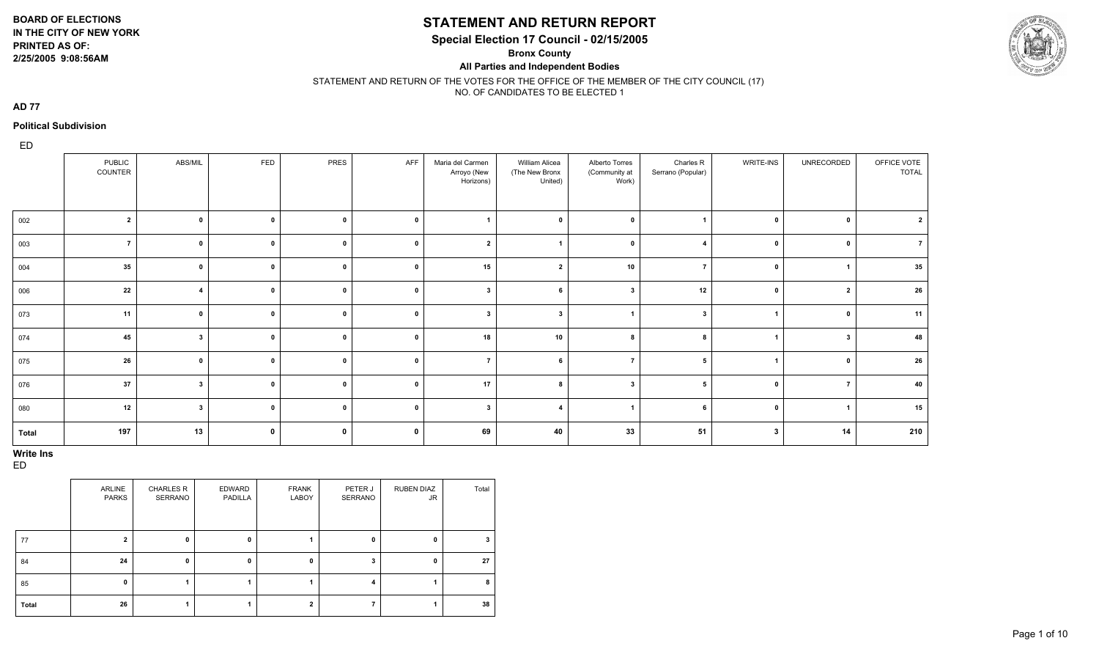**2/25/2005 9:08:56AM**

### **STATEMENT AND RETURN REPORT**

**Special Election 17 Council - 02/15/2005**

**Bronx County**

**All Parties and Independent Bodies**



STATEMENT AND RETURN OF THE VOTES FOR THE OFFICE OF THE MEMBER OF THE CITY COUNCIL (17) NO. OF CANDIDATES TO BE ELECTED 1

**AD 77**

#### **Political Subdivision**

ED

|       | PUBLIC<br>COUNTER | ABS/MIL                 | FED         | PRES         | AFF         | Maria del Carmen<br>Arroyo (New<br>Horizons) | William Alicea<br>(The New Bronx<br>United) | Alberto Torres<br>(Community at<br>Work) | Charles R<br>Serrano (Popular) | WRITE-INS        | UNRECORDED              | OFFICE VOTE<br><b>TOTAL</b> |
|-------|-------------------|-------------------------|-------------|--------------|-------------|----------------------------------------------|---------------------------------------------|------------------------------------------|--------------------------------|------------------|-------------------------|-----------------------------|
| 002   | $\overline{2}$    | $\mathbf{0}$            | $\pmb{0}$   | $\mathbf{0}$ | $\mathbf 0$ |                                              | $\mathbf{r}$                                | $\mathbf{0}$                             |                                | $\mathbf{0}$     | $\mathbf{0}$            | $\overline{2}$              |
| 003   | $\overline{7}$    | $\mathbf 0$             | $\mathbf 0$ | $\mathbf 0$  | $\mathbf 0$ | $\overline{2}$                               |                                             | $\mathbf 0$                              | $\boldsymbol{A}$               | $\mathbf 0$      | $\mathbf{0}$            | $\overline{7}$              |
| 004   | 35                | $\mathbf{0}$            | $\mathbf 0$ | $\mathbf 0$  | $\mathbf 0$ | 15                                           | $\overline{2}$                              | 10                                       | $\overline{7}$                 | $\mathbf 0$      |                         | 35                          |
| 006   | 22                | $\overline{\mathbf{4}}$ | $\mathbf 0$ | $\mathbf 0$  | $\mathbf 0$ | $\mathbf{3}$                                 | 6                                           | -3                                       | 12                             | $\mathbf 0$      | $\overline{2}$          | 26                          |
| 073   | 11                | $\mathbf 0$             | $\mathbf 0$ | $\mathbf 0$  | $\mathbf 0$ | $\mathbf{3}$                                 | $\mathbf{3}$                                | -1                                       | $\mathbf{3}$                   | $\overline{1}$   | $\mathbf 0$             | 11                          |
| 074   | 45                | $\mathbf{3}$            | $\mathbf 0$ | $\mathbf 0$  | $\mathbf 0$ | 18                                           | 10                                          | 8                                        | 8                              |                  | $\overline{\mathbf{3}}$ | 48                          |
| 075   | 26                | $\mathbf{0}$            | $\mathbf 0$ | $\mathbf{0}$ | $\mathbf 0$ | $\overline{ }$                               | 6                                           | $\overline{7}$                           | 5                              |                  | $\mathbf{0}$            | 26                          |
| 076   | 37                | $\mathbf{3}$            | $\pmb{0}$   | $\mathbf{0}$ | $\mathbf 0$ | 17                                           |                                             | $\overline{\mathbf{3}}$                  | 5                              | $\mathbf{0}$     | $\overline{7}$          | 40                          |
| 080   | 12                | $\overline{\mathbf{3}}$ | $\pmb{0}$   | $\mathbf{0}$ | $\mathbf 0$ | $\overline{\mathbf{3}}$                      | $\boldsymbol{4}$                            | $\overline{ }$                           | 6                              | $\mathbf 0$      |                         | 15                          |
| Total | 197               | 13                      | $\mathbf 0$ | $\mathbf 0$  | $\mathbf 0$ | 69                                           | 40                                          | 33                                       | 51                             | $\boldsymbol{3}$ | 14                      | 210                         |

#### **Write Ins**

|       | <b>ARLINE</b><br>PARKS | <b>CHARLES R</b><br>SERRANO | EDWARD<br>PADILLA | <b>FRANK</b><br>LABOY | PETER J<br>SERRANO | <b>RUBEN DIAZ</b><br>JR. | Total |
|-------|------------------------|-----------------------------|-------------------|-----------------------|--------------------|--------------------------|-------|
| 77    | $\overline{2}$         | 0                           | 0                 |                       | 0                  | 0                        | 3     |
| 84    | 24                     | 0                           | 0                 |                       | 3                  | 0                        | 27    |
| 85    | $\mathbf{0}$           |                             |                   |                       | 4                  |                          | 8     |
| Total | 26                     |                             |                   |                       |                    |                          | 38    |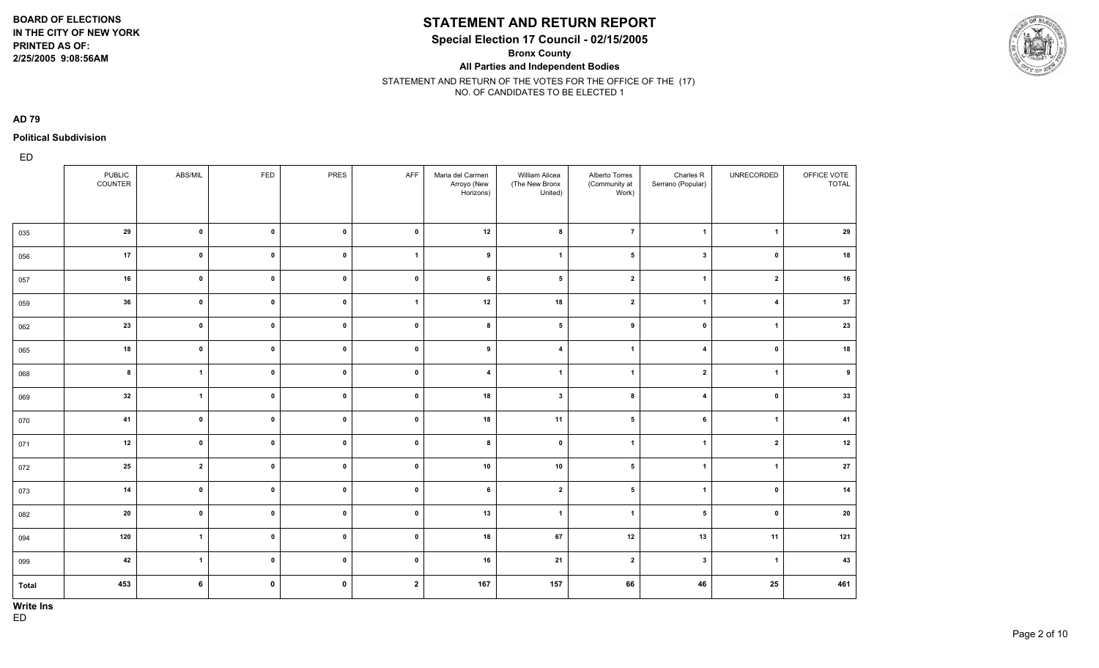**2/25/2005 9:08:56AM**

### **STATEMENT AND RETURN REPORT**

**Special Election 17 Council - 02/15/2005**

**Bronx County**

**All Parties and Independent Bodies**

STATEMENT AND RETURN OF THE VOTES FOR THE OFFICE OF THE (17) NO. OF CANDIDATES TO BE ELECTED 1

**AD 79**

**Political Subdivision**

|       | PUBLIC<br>COUNTER | ABS/MIL                 | FED                 | PRES        | AFF            | Maria del Carmen<br>Arroyo (New<br>Horizons) | William Alicea<br>(The New Bronx<br>United) | Alberto Torres<br>(Community at<br>Work) | Charles R<br>Serrano (Popular) | UNRECORDED              | OFFICE VOTE<br><b>TOTAL</b> |
|-------|-------------------|-------------------------|---------------------|-------------|----------------|----------------------------------------------|---------------------------------------------|------------------------------------------|--------------------------------|-------------------------|-----------------------------|
| 035   | 29                | $\pmb{\mathsf{o}}$      | $\mathbf 0$         | $\pmb{0}$   | $\mathbf 0$    | 12                                           | 8                                           | $\overline{7}$                           | $\mathbf{1}$                   | $\overline{1}$          | 29                          |
| 056   | 17                | $\mathbf 0$             | $\mathbf 0$         | $\pmb{0}$   | $\overline{1}$ | 9                                            | $\mathbf{1}$                                | 5                                        | $\mathbf{3}$                   | $\mathbf{0}$            | 18                          |
| 057   | 16                | $\pmb{0}$               | $\mathbf{0}$        | $\pmb{0}$   | $\mathbf 0$    | 6                                            | $5\phantom{.0}$                             | $\overline{\mathbf{2}}$                  | $\mathbf{1}$                   | $\overline{2}$          | 16                          |
| 059   | 36                | $\pmb{0}$               | $\mathbf 0$         | $\pmb{0}$   | $\overline{1}$ | 12                                           | 18                                          | $\overline{\mathbf{2}}$                  | $\mathbf{1}$                   | $\overline{\mathbf{4}}$ | 37                          |
| 062   | 23                | $\pmb{0}$               | $\bullet$ $\bullet$ | $\pmb{0}$   | $\mathbf 0$    | 8                                            | $5\phantom{.0}$                             | 9                                        | $\pmb{0}$                      | $\overline{1}$          | 23                          |
| 065   | 18                | $\pmb{\mathsf{o}}$      | $\bullet$           | $\pmb{0}$   | $\mathbf 0$    | 9                                            | $\overline{\mathbf{4}}$                     | $\overline{1}$                           | $\overline{\mathbf{4}}$        | $\mathbf 0$             | 18                          |
| 068   | 8                 | $\mathbf{1}$            | $\bullet$           | $\pmb{0}$   | $\pmb{0}$      | $\overline{\mathbf{4}}$                      | $\overline{1}$                              | $\overline{1}$                           | $\mathbf{2}$                   | $\overline{1}$          | 9                           |
| 069   | 32                | $\mathbf{1}$            | $\mathbf 0$         | $\pmb{0}$   | $\pmb{0}$      | 18                                           | $\mathbf{3}$                                | 8                                        | $\overline{\mathbf{4}}$        | $\mathbf 0$             | 33                          |
| 070   | 41                | $\pmb{0}$               | $\mathbf 0$         | $\mathbf 0$ | $\mathbf 0$    | 18                                           | 11                                          | 5                                        | 6                              | $\mathbf{1}$            | 41                          |
| 071   | 12                | $\pmb{0}$               | $\mathbf 0$         | $\pmb{0}$   | $\mathbf 0$    | 8                                            | $\mathbf 0$                                 | $\overline{1}$                           | $\mathbf{1}$                   | $\overline{2}$          | 12                          |
| 072   | 25                | $\overline{\mathbf{2}}$ | $\mathbf 0$         | $\pmb{0}$   | $\mathbf 0$    | 10                                           | 10                                          | 5                                        | $\overline{1}$                 | $\mathbf{1}$            | 27                          |
| 073   | 14                | $\pmb{0}$               | $\mathbf 0$         | $\mathbf 0$ | $\mathbf 0$    | 6                                            | $\overline{2}$                              | 5                                        | $\mathbf{1}$                   | $\mathbf 0$             | 14                          |
| 082   | 20                | $\pmb{0}$               | $\pmb{0}$           | $\pmb{0}$   | $\pmb{0}$      | 13                                           | $\overline{\mathbf{1}}$                     | $\overline{1}$                           | ${\bf 5}$                      | $\mathbf 0$             | 20                          |
| 094   | 120               | $\mathbf{1}$            | $\mathbf{0}$        | $\pmb{0}$   | $\mathbf 0$    | 18                                           | 67                                          | 12                                       | 13                             | 11                      | 121                         |
| 099   | 42                | $\mathbf{1}$            | $\mathbf{0}$        | $\pmb{0}$   | $\mathbf 0$    | 16                                           | 21                                          | $\overline{2}$                           | $\mathbf{3}$                   | $\overline{1}$          | 43                          |
| Total | 453               | $6\phantom{.}6$         | $\pmb{0}$           | $\mathbf 0$ | $\overline{2}$ | 167                                          | 157                                         | 66                                       | 46                             | 25                      | 461                         |

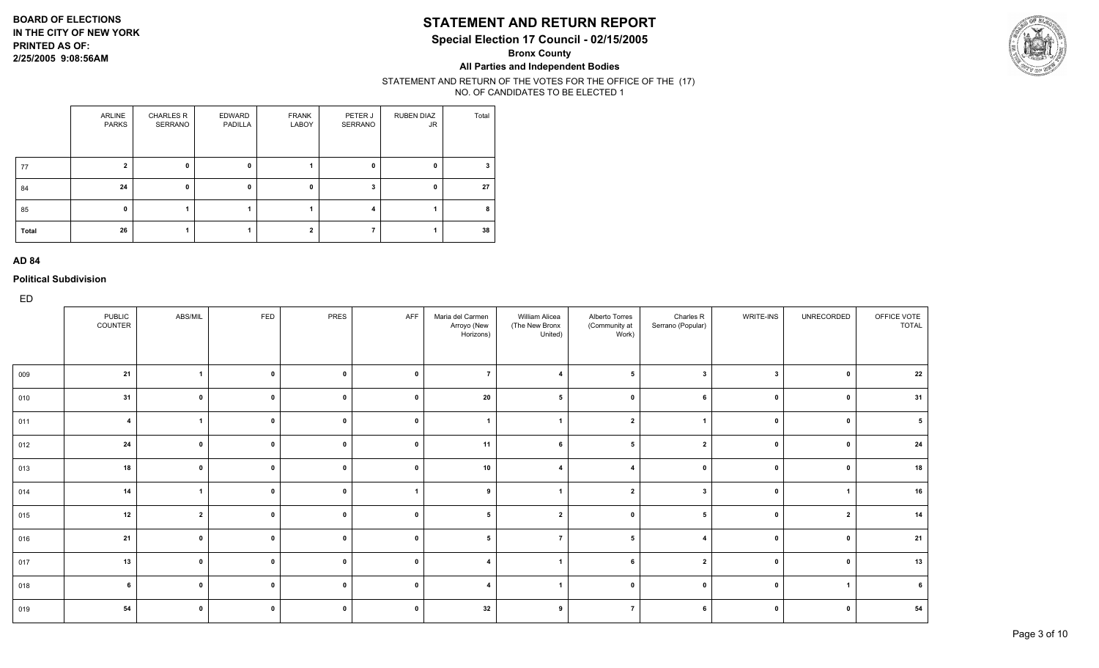### **STATEMENT AND RETURN REPORT**

**Special Election 17 Council - 02/15/2005**

**Bronx County**

**All Parties and Independent Bodies**

#### STATEMENT AND RETURN OF THE VOTES FOR THE OFFICE OF THE (17) NO. OF CANDIDATES TO BE ELECTED 1

|       | ARLINE<br><b>PARKS</b> | <b>CHARLES R</b><br>SERRANO | EDWARD<br>PADILLA | <b>FRANK</b><br>LABOY | PETER J<br>SERRANO | <b>RUBEN DIAZ</b><br><b>JR</b> | Total |
|-------|------------------------|-----------------------------|-------------------|-----------------------|--------------------|--------------------------------|-------|
| 77    | 2                      | 0                           | $\mathbf 0$       |                       | 0                  | $\mathbf 0$                    | 3     |
| 84    | 24                     | 0                           | 0                 | 0                     | 3                  | 0                              | 27    |
| 85    | $\mathbf{0}$           |                             |                   |                       | 4                  |                                | 8     |
| Total | 26                     |                             |                   | $\overline{2}$        |                    |                                | 38    |

#### **AD 84**

**Political Subdivision**

| <b>FED</b><br>AFF<br><b>PUBLIC</b><br>ABS/MIL<br>PRES<br>WRITE-INS<br>UNRECORDED<br>OFFICE VOTE<br>Maria del Carmen<br>William Alicea<br>Alberto Torres<br>Charles R<br>COUNTER<br>(Community at<br>Serrano (Popular)<br><b>TOTAL</b><br>(The New Bronx<br>Arroyo (New<br>United)<br>Work)<br>Horizons)<br>21<br>$\mathbf{1}$<br>$\mathbf 0$<br>$\overline{7}$<br>$\mathbf 0$<br>5<br>$\mathbf{3}$<br>$\overline{\mathbf{3}}$<br>$\mathbf 0$<br>$\mathbf{0}$<br>009<br>$\mathbf{4}$<br>31<br>31<br>20<br>$\mathbf{0}$<br>$\mathbf 0$<br>$\mathbf 0$<br>$\Omega$<br>010<br>$\Omega$<br>$\mathbf{0}$<br>$\mathbf{0}$<br>$\overline{1}$<br>$\mathbf 0$<br>$\Omega$<br>$\overline{\mathbf{4}}$<br>$\mathbf{0}$<br>$\overline{2}$<br>5<br>$\mathbf{0}$<br>011<br>$\Omega$<br>24<br>$\pmb{0}$<br>$\mathbf 0$<br>5<br>$\overline{2}$<br>$\mathbf{0}$<br>11<br>$\mathbf{0}$<br>$\mathbf 0$<br>$\mathbf{0}$<br>012<br>6<br>18<br>10<br>18<br>$\mathbf{0}$<br>$\mathbf 0$<br>$\Omega$<br>013<br>0<br>$\mathbf{0}$<br>$\Omega$<br>$\mathbf{0}$<br>14<br>$\mathbf 0$<br>16<br>$\overline{1}$<br>9<br>$\overline{2}$<br>$\mathbf 0$<br>-3<br>014<br>$\mathbf{0}$<br>-1<br>12<br>$\overline{2}$<br>$\mathbf 0$<br>$\mathbf{0}$<br>5<br>$\mathbf{0}$<br>$\overline{2}$<br>$\mathbf{0}$<br>$\overline{2}$<br>5<br>$\mathbf 0$<br>015<br>21<br>21<br>$\mathbf 0$<br>$\mathbf 0$<br>$\mathbf{0}$<br>5<br>$\mathbf 0$<br>$\overline{ }$<br>$\mathbf{0}$<br>016<br>5<br>$\mathbf{0}$<br>$\boldsymbol{\Delta}$<br>13<br>$\mathbf{0}$<br>$\mathbf 0$<br>$\mathbf{0}$<br>0<br>6<br>$\overline{2}$<br>017<br>$\mathbf{0}$<br>$\mathbf{0}$<br>$\mathbf{4}$<br>$\mathbf 0$<br>$\mathbf 0$<br>6<br>$\mathbf{0}$<br>$\mathbf 0$<br>$\mathbf 0$<br>$\overline{4}$<br>$\mathbf 0$<br>$\mathbf 0$<br>$\overline{1}$<br>6<br>018<br>$\overline{\mathbf{1}}$<br>54<br>$\mathbf 0$<br>32<br>$\mathbf 0$<br>$\Omega$<br>0<br>$\Omega$<br>019<br>-9<br>7<br>$\mathbf 0$<br>6 | ED |  |  |  |  |  |    |
|------------------------------------------------------------------------------------------------------------------------------------------------------------------------------------------------------------------------------------------------------------------------------------------------------------------------------------------------------------------------------------------------------------------------------------------------------------------------------------------------------------------------------------------------------------------------------------------------------------------------------------------------------------------------------------------------------------------------------------------------------------------------------------------------------------------------------------------------------------------------------------------------------------------------------------------------------------------------------------------------------------------------------------------------------------------------------------------------------------------------------------------------------------------------------------------------------------------------------------------------------------------------------------------------------------------------------------------------------------------------------------------------------------------------------------------------------------------------------------------------------------------------------------------------------------------------------------------------------------------------------------------------------------------------------------------------------------------------------------------------------------------------------------------------------------------------------------------------------------------------------------------------------------------------------------------|----|--|--|--|--|--|----|
|                                                                                                                                                                                                                                                                                                                                                                                                                                                                                                                                                                                                                                                                                                                                                                                                                                                                                                                                                                                                                                                                                                                                                                                                                                                                                                                                                                                                                                                                                                                                                                                                                                                                                                                                                                                                                                                                                                                                          |    |  |  |  |  |  |    |
|                                                                                                                                                                                                                                                                                                                                                                                                                                                                                                                                                                                                                                                                                                                                                                                                                                                                                                                                                                                                                                                                                                                                                                                                                                                                                                                                                                                                                                                                                                                                                                                                                                                                                                                                                                                                                                                                                                                                          |    |  |  |  |  |  | 22 |
|                                                                                                                                                                                                                                                                                                                                                                                                                                                                                                                                                                                                                                                                                                                                                                                                                                                                                                                                                                                                                                                                                                                                                                                                                                                                                                                                                                                                                                                                                                                                                                                                                                                                                                                                                                                                                                                                                                                                          |    |  |  |  |  |  |    |
|                                                                                                                                                                                                                                                                                                                                                                                                                                                                                                                                                                                                                                                                                                                                                                                                                                                                                                                                                                                                                                                                                                                                                                                                                                                                                                                                                                                                                                                                                                                                                                                                                                                                                                                                                                                                                                                                                                                                          |    |  |  |  |  |  |    |
|                                                                                                                                                                                                                                                                                                                                                                                                                                                                                                                                                                                                                                                                                                                                                                                                                                                                                                                                                                                                                                                                                                                                                                                                                                                                                                                                                                                                                                                                                                                                                                                                                                                                                                                                                                                                                                                                                                                                          |    |  |  |  |  |  | 24 |
|                                                                                                                                                                                                                                                                                                                                                                                                                                                                                                                                                                                                                                                                                                                                                                                                                                                                                                                                                                                                                                                                                                                                                                                                                                                                                                                                                                                                                                                                                                                                                                                                                                                                                                                                                                                                                                                                                                                                          |    |  |  |  |  |  |    |
|                                                                                                                                                                                                                                                                                                                                                                                                                                                                                                                                                                                                                                                                                                                                                                                                                                                                                                                                                                                                                                                                                                                                                                                                                                                                                                                                                                                                                                                                                                                                                                                                                                                                                                                                                                                                                                                                                                                                          |    |  |  |  |  |  |    |
|                                                                                                                                                                                                                                                                                                                                                                                                                                                                                                                                                                                                                                                                                                                                                                                                                                                                                                                                                                                                                                                                                                                                                                                                                                                                                                                                                                                                                                                                                                                                                                                                                                                                                                                                                                                                                                                                                                                                          |    |  |  |  |  |  | 14 |
|                                                                                                                                                                                                                                                                                                                                                                                                                                                                                                                                                                                                                                                                                                                                                                                                                                                                                                                                                                                                                                                                                                                                                                                                                                                                                                                                                                                                                                                                                                                                                                                                                                                                                                                                                                                                                                                                                                                                          |    |  |  |  |  |  |    |
|                                                                                                                                                                                                                                                                                                                                                                                                                                                                                                                                                                                                                                                                                                                                                                                                                                                                                                                                                                                                                                                                                                                                                                                                                                                                                                                                                                                                                                                                                                                                                                                                                                                                                                                                                                                                                                                                                                                                          |    |  |  |  |  |  | 13 |
|                                                                                                                                                                                                                                                                                                                                                                                                                                                                                                                                                                                                                                                                                                                                                                                                                                                                                                                                                                                                                                                                                                                                                                                                                                                                                                                                                                                                                                                                                                                                                                                                                                                                                                                                                                                                                                                                                                                                          |    |  |  |  |  |  |    |
|                                                                                                                                                                                                                                                                                                                                                                                                                                                                                                                                                                                                                                                                                                                                                                                                                                                                                                                                                                                                                                                                                                                                                                                                                                                                                                                                                                                                                                                                                                                                                                                                                                                                                                                                                                                                                                                                                                                                          |    |  |  |  |  |  | 54 |

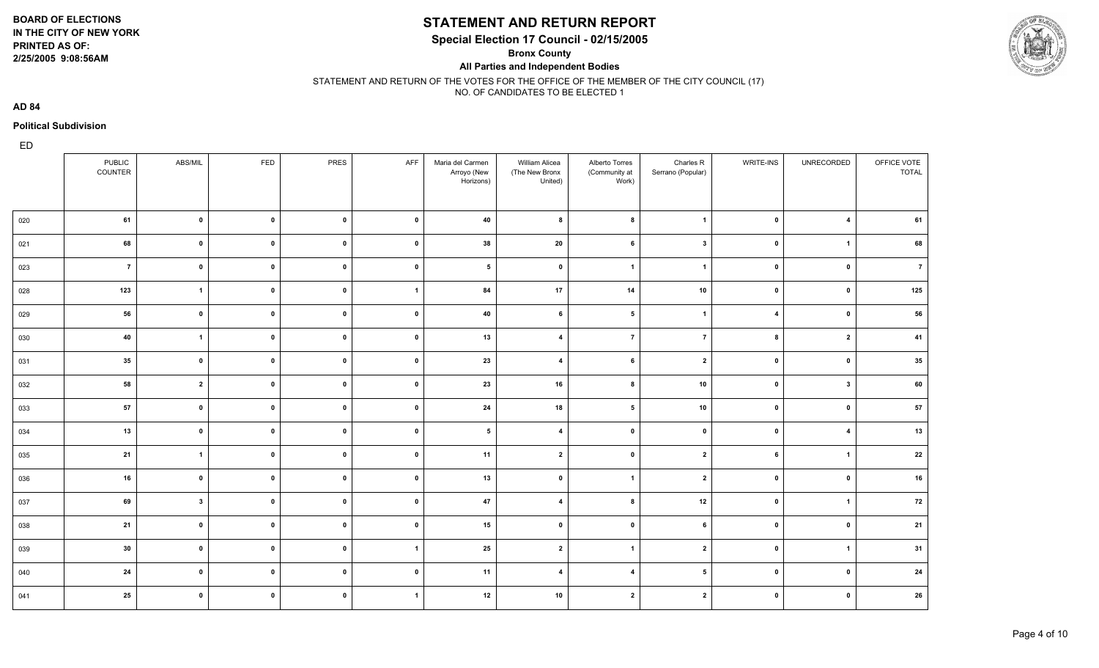**2/25/2005 9:08:56AM**

# **STATEMENT AND RETURN REPORT**

**Special Election 17 Council - 02/15/2005**

**Bronx County**

**All Parties and Independent Bodies**



#### STATEMENT AND RETURN OF THE VOTES FOR THE OFFICE OF THE MEMBER OF THE CITY COUNCIL (17) NO. OF CANDIDATES TO BE ELECTED 1

**AD 84**

#### **Political Subdivision**

|     | PUBLIC<br>COUNTER | ABS/MIL        | FED          | PRES         | AFF            | Maria del Carmen<br>Arroyo (New<br>Horizons) | William Alicea<br>(The New Bronx<br>United) | Alberto Torres<br>(Community at<br>Work) | Charles R<br>Serrano (Popular) | WRITE-INS               | UNRECORDED              | OFFICE VOTE<br><b>TOTAL</b> |
|-----|-------------------|----------------|--------------|--------------|----------------|----------------------------------------------|---------------------------------------------|------------------------------------------|--------------------------------|-------------------------|-------------------------|-----------------------------|
| 020 | 61                | $\mathbf{0}$   | $\mathbf 0$  | $\mathbf{0}$ | $\mathbf 0$    | 40                                           | 8                                           | 8                                        | $\overline{\mathbf{1}}$        | $\mathbf{0}$            | $\overline{4}$          | 61                          |
| 021 | 68                | $\mathbf 0$    | $\mathbf 0$  | $\mathbf{0}$ | $\mathbf 0$    | 38                                           | 20                                          | 6                                        | $\overline{\mathbf{3}}$        | $\mathbf 0$             | $\overline{1}$          | 68                          |
| 023 | $\overline{7}$    | $\mathbf 0$    | $\mathbf{0}$ | $\mathbf 0$  | $\pmb{0}$      | $5\phantom{a}$                               | $\pmb{0}$                                   | $\overline{1}$                           | $\overline{\mathbf{1}}$        | $\pmb{0}$               | $\overline{\mathbf{0}}$ | $\overline{7}$              |
| 028 | 123               | $\mathbf{1}$   | $\mathbf 0$  | $\mathbf{0}$ | $\mathbf{1}$   | 84                                           | 17                                          | 14                                       | $10$                           | $\mathbf 0$             | $\mathbf 0$             | 125                         |
| 029 | 56                | $\mathbf{0}$   | $\mathbf 0$  | $\mathbf{0}$ | $\mathbf 0$    | 40                                           | 6                                           | $5\phantom{.0}$                          | $\overline{1}$                 | $\overline{\mathbf{4}}$ | $\mathbf 0$             | 56                          |
| 030 | 40                | $\mathbf{1}$   | $\mathbf 0$  | $\mathbf{0}$ | $\mathbf 0$    | 13                                           | $\overline{\mathbf{4}}$                     | $\overline{7}$                           | $\overline{7}$                 | 8                       | $\overline{\mathbf{2}}$ | 41                          |
| 031 | 35                | $\mathbf 0$    | $\mathbf 0$  | $\mathbf{0}$ | $\mathbf 0$    | 23                                           | $\overline{\mathbf{4}}$                     | 6                                        | $\overline{\mathbf{2}}$        | $\pmb{0}$               | $\overline{\mathbf{0}}$ | 35                          |
| 032 | 58                | $\overline{2}$ | $\mathbf 0$  | $\pmb{0}$    | $\mathbf 0$    | 23                                           | 16                                          | 8                                        | 10                             | $\mathbf 0$             | $\overline{\mathbf{3}}$ | 60                          |
| 033 | 57                | $\mathbf 0$    | $\mathbf 0$  | $\mathbf 0$  | $\mathbf 0$    | 24                                           | 18                                          | $5\phantom{.0}$                          | 10                             | $\mathbf 0$             | $\mathbf{0}$            | 57                          |
| 034 | 13                | $\mathbf 0$    | $\mathbf 0$  | $\pmb{0}$    | $\mathbf 0$    | $5\phantom{.0}$                              | $\overline{4}$                              | $\mathbf 0$                              | $\mathbf 0$                    | $\mathbf{0}$            | $\overline{4}$          | 13                          |
| 035 | 21                | $\overline{1}$ | $\mathbf{0}$ | $\mathbf 0$  | $\mathbf 0$    | 11                                           | $\overline{2}$                              | $\mathbf 0$                              | $\overline{\mathbf{2}}$        | 6                       | $\overline{1}$          | 22                          |
| 036 | 16                | $\mathbf 0$    | $\mathbf 0$  | $\mathbf 0$  | $\mathbf 0$    | 13                                           | $\mathbf{0}$                                | $\overline{1}$                           | $\overline{\mathbf{2}}$        | $\mathbf{0}$            | $\overline{\mathbf{0}}$ | 16                          |
| 037 | 69                | $\mathbf{3}$   | $\mathbf{0}$ | $\mathbf 0$  | $\mathbf 0$    | 47                                           | $\overline{\mathbf{4}}$                     | 8                                        | 12                             | $\mathbf{0}$            | $\overline{1}$          | 72                          |
| 038 | 21                | $\mathbf 0$    | $\mathbf{0}$ | $\pmb{0}$    | $\mathbf 0$    | 15                                           | $\mathbf{0}$                                | $\pmb{0}$                                | 6                              | $\mathbf 0$             | 0                       | 21                          |
| 039 | 30                | $\mathbf 0$    | $\mathbf{0}$ | $\mathbf 0$  | $\overline{1}$ | 25                                           | $\overline{2}$                              | $\overline{1}$                           | $\overline{\mathbf{2}}$        | $\mathbf{0}$            | $\overline{1}$          | 31                          |
| 040 | 24                | $\mathbf 0$    | $\mathbf 0$  | $\mathbf 0$  | $\mathbf 0$    | 11                                           | $\overline{4}$                              | $\overline{4}$                           | 5                              | $\mathbf{0}$            | 0                       | 24                          |
| 041 | 25                | $\mathbf 0$    | $\mathbf 0$  | $\mathbf 0$  | $\overline{1}$ | 12                                           | 10                                          | $\overline{2}$                           | $\overline{\mathbf{2}}$        | $\pmb{0}$               | $\mathbf{0}$            | 26                          |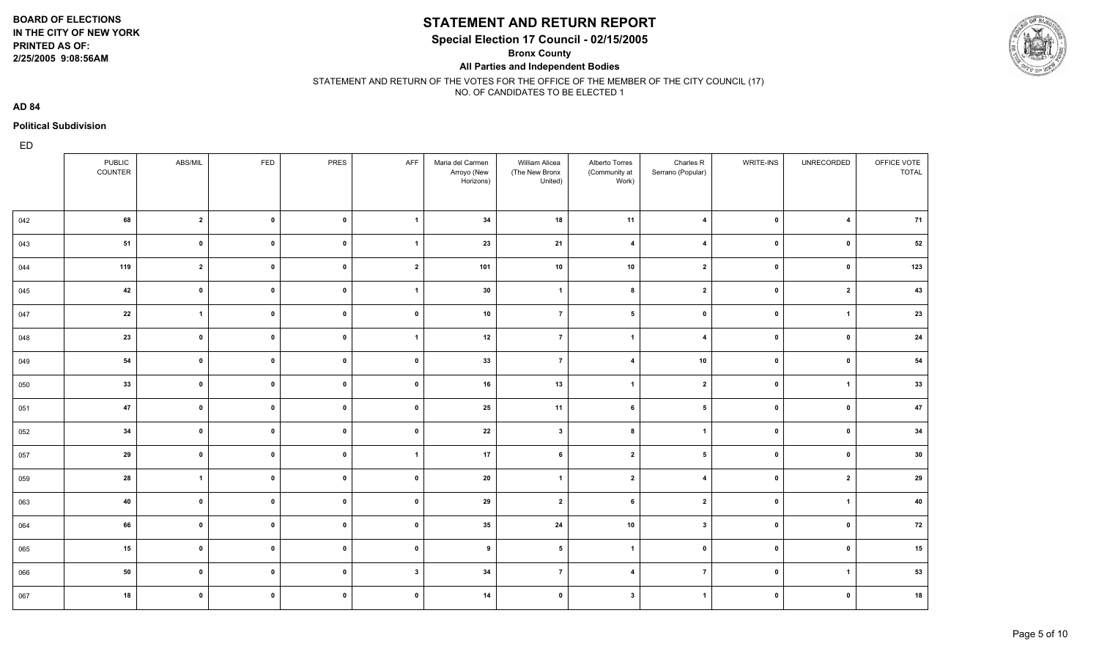**2/25/2005 9:08:56AM**

### **STATEMENT AND RETURN REPORT**

**Special Election 17 Council - 02/15/2005**

**Bronx County**

**All Parties and Independent Bodies**



STATEMENT AND RETURN OF THE VOTES FOR THE OFFICE OF THE MEMBER OF THE CITY COUNCIL (17) NO. OF CANDIDATES TO BE ELECTED 1

**AD 84**

#### **Political Subdivision**

|     | <b>PUBLIC</b><br>COUNTER | ABS/MIL                 | FED          | PRES         | AFF            | Maria del Carmen<br>Arroyo (New<br>Horizons) | William Alicea<br>(The New Bronx<br>United) | Alberto Torres<br>(Community at<br>Work) | Charles R<br>Serrano (Popular) | <b>WRITE-INS</b> | UNRECORDED              | OFFICE VOTE<br><b>TOTAL</b> |
|-----|--------------------------|-------------------------|--------------|--------------|----------------|----------------------------------------------|---------------------------------------------|------------------------------------------|--------------------------------|------------------|-------------------------|-----------------------------|
| 042 | 68                       | $\overline{2}$          | $\mathbf{0}$ | $\mathbf 0$  | $\overline{1}$ | 34                                           | 18                                          | 11                                       | $\overline{4}$                 | $\pmb{0}$        | $\overline{4}$          | 71                          |
| 043 | 51                       | $\mathbf{0}$            | $\mathbf{0}$ | $\mathbf{0}$ | $\overline{1}$ | 23                                           | 21                                          | $\overline{\mathbf{4}}$                  | $\overline{4}$                 | $\mathbf 0$      | 0                       | 52                          |
| 044 | 119                      | $\overline{\mathbf{2}}$ | $\mathbf{0}$ | $\mathbf{0}$ | $\overline{2}$ | 101                                          | 10                                          | 10                                       | $\overline{2}$                 | $\pmb{0}$        | 0                       | 123                         |
| 045 | 42                       | $\mathbf{0}$            | $\mathbf{0}$ | $\mathbf 0$  | $\overline{1}$ | 30                                           | $\overline{1}$                              | 8                                        | $\overline{2}$                 | $\mathbf 0$      | $\overline{\mathbf{2}}$ | 43                          |
| 047 | 22                       | $\overline{1}$          | $\mathbf{0}$ | $\mathbf{0}$ | $\mathbf 0$    | 10                                           | $\overline{7}$                              | $5\phantom{a}$                           | $\mathbf 0$                    | $\pmb{0}$        | $\overline{1}$          | 23                          |
| 048 | 23                       | $\mathbf{0}$            | $\mathbf{0}$ | $\mathbf 0$  | $\overline{1}$ | 12                                           | $\overline{7}$                              | $\mathbf{1}$                             | $\overline{4}$                 | $\pmb{0}$        | 0                       | 24                          |
| 049 | 54                       | $\mathbf{0}$            | $\mathbf{0}$ | $\mathbf{0}$ | $\pmb{0}$      | 33                                           | $\overline{7}$                              | $\overline{\mathbf{4}}$                  | 10                             | $\pmb{0}$        | $\overline{\mathbf{0}}$ | 54                          |
| 050 | 33                       | $\mathbf{0}$            | $\mathbf{0}$ | $\mathbf 0$  | $\mathbf 0$    | 16                                           | 13                                          | $\mathbf{1}$                             | $\overline{2}$                 | $\pmb{0}$        | $\overline{1}$          | 33                          |
| 051 | 47                       | $\mathbf{0}$            | $\mathbf{0}$ | $\mathbf{0}$ | $\mathbf 0$    | 25                                           | 11                                          | 6                                        | 5                              | $\pmb{0}$        | 0                       | 47                          |
| 052 | 34                       | $\mathbf{0}$            | $\mathbf 0$  | $\mathbf{0}$ | $\mathbf 0$    | 22                                           | $\mathbf{3}$                                | 8                                        | $\overline{1}$                 | $\mathbf{0}$     | 0                       | 34                          |
| 057 | 29                       | $\mathbf{0}$            | $\mathbf 0$  | $\mathbf{0}$ | $\overline{1}$ | 17                                           | 6                                           | $\overline{2}$                           | 5                              | $\mathbf 0$      | $\mathbf{0}$            | 30                          |
| 059 | 28                       | $\overline{1}$          | $\mathbf 0$  | $\mathbf{0}$ | $\mathbf 0$    | 20                                           | $\overline{1}$                              | $\overline{2}$                           | $\overline{4}$                 | $\mathbf{0}$     | $\overline{\mathbf{2}}$ | 29                          |
| 063 | 40                       | $\mathbf 0$             | $\mathbf{0}$ | $\mathbf 0$  | $\mathbf 0$    | 29                                           | $\overline{2}$                              | 6                                        | $\mathbf{2}$                   | $\mathbf{0}$     | $\overline{1}$          | 40                          |
| 064 | 66                       | $\mathbf{0}$            | $\mathbf{0}$ | $\mathbf 0$  | $\mathbf 0$    | 35                                           | 24                                          | 10                                       | $\mathbf{3}$                   | $\pmb{0}$        | $\mathbf 0$             | 72                          |
| 065 | 15                       | $\mathbf{0}$            | $\mathbf{0}$ | $\mathbf 0$  | $\mathbf 0$    | 9                                            | $5\phantom{.0}$                             | $\mathbf{1}$                             | $\mathbf 0$                    | $\mathbf 0$      | $\mathbf 0$             | 15                          |
| 066 | 50                       | $\mathbf{0}$            | $\mathbf 0$  | $\mathbf{0}$ | $\mathbf{3}$   | 34                                           | $\overline{7}$                              | $\overline{\mathbf{4}}$                  | $\overline{7}$                 | $\mathbf{0}$     | $\overline{1}$          | 53                          |
| 067 | 18                       | $\mathbf{0}$            | $\mathbf{0}$ | $\mathbf{0}$ | $\mathbf 0$    | 14                                           | $\mathbf 0$                                 | $\mathbf{3}$                             | $\overline{1}$                 | $\pmb{0}$        | $\overline{\mathbf{0}}$ | 18                          |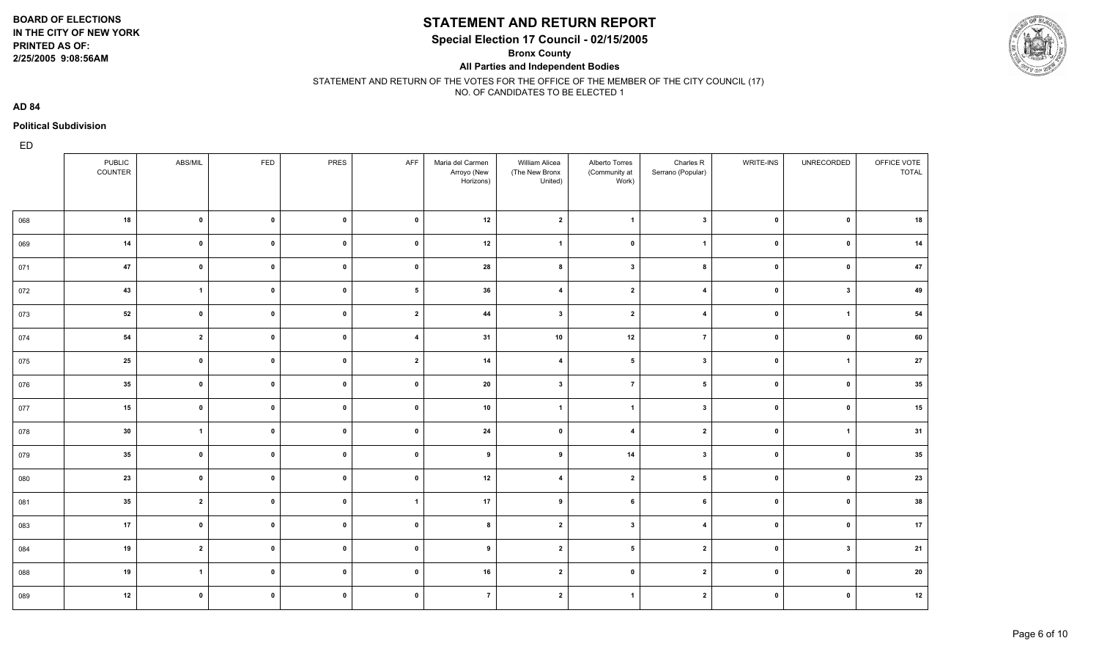**2/25/2005 9:08:56AM**

### **STATEMENT AND RETURN REPORT**

**Special Election 17 Council - 02/15/2005**

**Bronx County**

**All Parties and Independent Bodies**



#### STATEMENT AND RETURN OF THE VOTES FOR THE OFFICE OF THE MEMBER OF THE CITY COUNCIL (17) NO. OF CANDIDATES TO BE ELECTED 1

**AD 84**

#### **Political Subdivision**

|     | PUBLIC<br>COUNTER | ABS/MIL                 | FED          | PRES         | AFF                     | Maria del Carmen<br>Arroyo (New<br>Horizons) | William Alicea<br>(The New Bronx<br>United) | Alberto Torres<br>(Community at<br>Work) | Charles R<br>Serrano (Popular) | WRITE-INS    | UNRECORDED              | OFFICE VOTE<br><b>TOTAL</b> |
|-----|-------------------|-------------------------|--------------|--------------|-------------------------|----------------------------------------------|---------------------------------------------|------------------------------------------|--------------------------------|--------------|-------------------------|-----------------------------|
| 068 | 18                | $\mathbf{0}$            | $\mathbf{0}$ | $\mathbf{0}$ | $\mathbf 0$             | 12                                           | $\overline{2}$                              | $\mathbf{1}$                             | $\mathbf{3}$                   | $\pmb{0}$    | $\mathbf{0}$            | 18                          |
| 069 | 14                | $\mathbf{0}$            | $\mathbf{0}$ | $\mathbf{0}$ | $\mathbf 0$             | 12                                           | $\overline{1}$                              | $\mathbf 0$                              | $\overline{1}$                 | $\mathbf 0$  | 0                       | 14                          |
| 071 | 47                | $\mathbf{0}$            | $\mathbf{0}$ | $\mathbf{0}$ | $\mathbf 0$             | 28                                           | 8                                           | $\mathbf{3}$                             | 8                              | $\pmb{0}$    | $\overline{\mathbf{0}}$ | 47                          |
| 072 | 43                | $\overline{1}$          | $\mathbf{0}$ | $\mathbf 0$  | $5\overline{5}$         | 36                                           | $\overline{\mathbf{4}}$                     | $\overline{2}$                           | $\overline{4}$                 | $\pmb{0}$    | $\overline{\mathbf{3}}$ | 49                          |
| 073 | 52                | $\mathbf{0}$            | $\mathbf{0}$ | $\mathbf{0}$ | $\overline{2}$          | 44                                           | $\mathbf{3}$                                | $\mathbf{2}$                             | 4                              | $\pmb{0}$    | $\overline{1}$          | 54                          |
| 074 | 54                | $\overline{2}$          | $\mathbf{0}$ | $\mathbf{0}$ | $\overline{\mathbf{4}}$ | 31                                           | 10                                          | 12                                       | $\overline{7}$                 | $\mathbf 0$  | $\mathbf{0}$            | 60                          |
| 075 | 25                | $\mathbf{0}$            | $\mathbf{0}$ | $\mathbf{0}$ | $\overline{2}$          | 14                                           | $\overline{\mathbf{4}}$                     | $5\phantom{.0}$                          | $\mathbf{3}$                   | $\pmb{0}$    | $\overline{1}$          | 27                          |
| 076 | 35                | $\mathbf{0}$            | $\mathbf{0}$ | $\mathbf{0}$ | $\pmb{0}$               | 20                                           | $\mathbf{3}$                                | $\overline{7}$                           | 5                              | $\pmb{0}$    | 0                       | 35                          |
| 077 | 15                | $\mathbf{0}$            | $\mathbf{0}$ | $\mathbf{0}$ | $\pmb{0}$               | 10                                           | $\overline{\mathbf{1}}$                     | $\mathbf{1}$                             | $\overline{\mathbf{3}}$        | $\pmb{0}$    | 0                       | 15                          |
| 078 | 30                | $\overline{1}$          | $\mathbf{0}$ | $\mathbf{0}$ | $\pmb{0}$               | 24                                           | $\mathbf 0$                                 | $\overline{\mathbf{4}}$                  | $\overline{2}$                 | $\pmb{0}$    | $\overline{1}$          | 31                          |
| 079 | 35                | $\mathbf{0}$            | $\mathbf{0}$ | $\mathbf{0}$ | $\mathbf 0$             | 9                                            | 9                                           | 14                                       | $\mathbf{3}$                   | $\mathbf{0}$ | $\mathbf{0}$            | 35                          |
| 080 | 23                | $\mathbf{0}$            | $\mathbf{0}$ | $\mathbf 0$  | $\mathbf 0$             | 12                                           | $\overline{\mathbf{4}}$                     | $\overline{2}$                           | $5\phantom{.0}$                | $\mathbf{0}$ | 0                       | 23                          |
| 081 | 35                | $\overline{2}$          | $\mathbf 0$  | $\mathbf{0}$ | $\overline{1}$          | 17                                           | 9                                           | 6                                        | 6                              | $\mathbf{0}$ | $\mathbf{0}$            | 38                          |
| 083 | 17                | $\mathbf{0}$            | $\mathbf{0}$ | $\mathbf{0}$ | $\mathbf 0$             | 8                                            | $\overline{2}$                              | $\mathbf{3}$                             | $\overline{\mathbf{4}}$        | $\pmb{0}$    | $\mathbf 0$             | 17                          |
| 084 | 19                | $\overline{\mathbf{2}}$ | $\mathbf{0}$ | $\mathbf 0$  | $\mathbf 0$             | 9                                            | $\overline{2}$                              | $5\phantom{.0}$                          | $\overline{2}$                 | $\mathbf 0$  | 3                       | 21                          |
| 088 | 19                | $\overline{1}$          | $\mathbf{0}$ | $\mathbf{0}$ | $\mathbf 0$             | 16                                           | $\overline{2}$                              | $\mathbf 0$                              | $\overline{2}$                 | $\pmb{0}$    | 0                       | 20                          |
| 089 | 12                | $\mathbf{0}$            | $\mathbf{0}$ | $\mathbf{0}$ | $\mathbf 0$             | $\overline{7}$                               | $\overline{2}$                              | $\mathbf{1}$                             | $\overline{2}$                 | $\pmb{0}$    | 0                       | 12                          |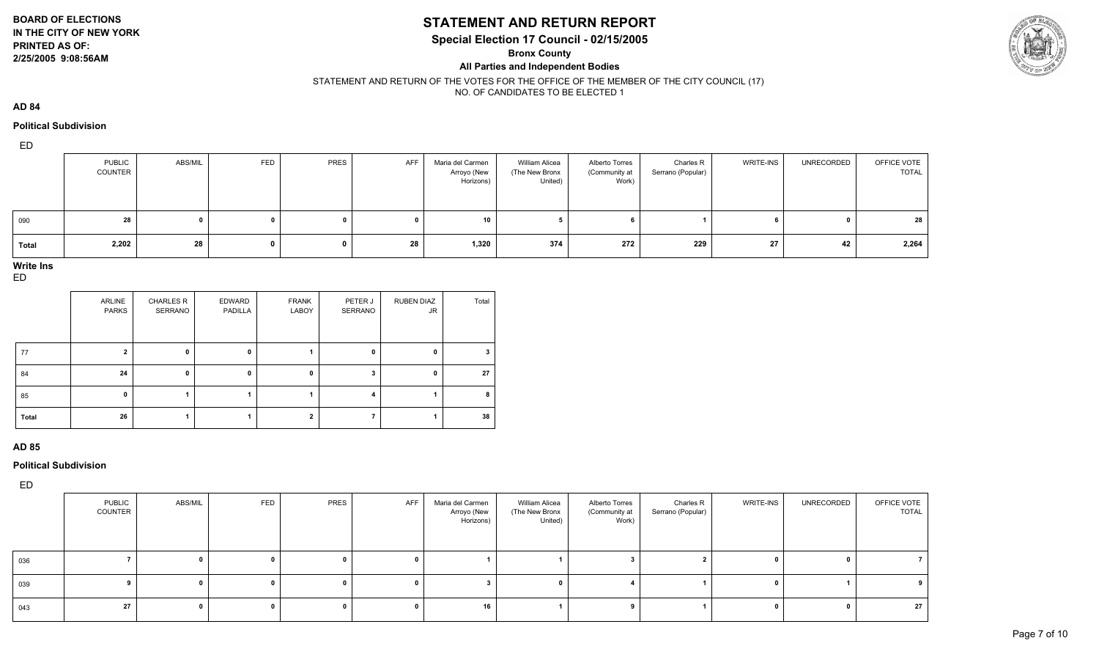#### **BOARD OF ELECTIONS IN THE CITY OF NEW YORK**

# **PRINTED AS OF:**

#### **2/25/2005 9:08:56AM**

# **STATEMENT AND RETURN REPORT**

**Special Election 17 Council - 02/15/2005**

**Bronx County**

**All Parties and Independent Bodies**



STATEMENT AND RETURN OF THE VOTES FOR THE OFFICE OF THE MEMBER OF THE CITY COUNCIL (17) NO. OF CANDIDATES TO BE ELECTED 1

**AD 84**

#### **Political Subdivision**

ED

|              | <b>PUBLIC</b><br>COUNTER | ABS/MIL | FED | PRES | AFF | Maria del Carmen<br>Arroyo (New<br>Horizons) | William Alicea<br>(The New Bronx<br>United) | Alberto Torres<br>(Community at<br>Work) | Charles R<br>Serrano (Popular) | <b>WRITE-INS</b> | UNRECORDED | OFFICE VOTE<br><b>TOTAL</b> |
|--------------|--------------------------|---------|-----|------|-----|----------------------------------------------|---------------------------------------------|------------------------------------------|--------------------------------|------------------|------------|-----------------------------|
| 090          | 28                       |         |     |      |     | 10                                           |                                             |                                          |                                |                  |            | 28                          |
| <b>Total</b> | 2,202                    | 28      |     |      | 28  | 1,320                                        | 374                                         | 272                                      | 229                            | 27               | 42         | 2,264                       |

# **Write Ins**

ED

|       | ARLINE<br><b>PARKS</b> | <b>CHARLES R</b><br>SERRANO | EDWARD<br>PADILLA | <b>FRANK</b><br>LABOY | PETER J<br>SERRANO | <b>RUBEN DIAZ</b><br>JR. | Total |
|-------|------------------------|-----------------------------|-------------------|-----------------------|--------------------|--------------------------|-------|
| 77    | າ                      | 0                           | 0                 |                       | 0                  | 0                        | 3     |
| 84    | 24                     | 0                           | 0                 | 0                     |                    | 0                        | 27    |
| 85    | 0                      |                             |                   |                       | 4                  |                          | 8     |
| Total | 26                     |                             |                   | $\overline{2}$        |                    |                          | 38    |

#### **AD 85**

**Political Subdivision**

|             | PUBLIC<br>COUNTER | ABS/MIL | FED | PRES | AFF | Maria del Carmen<br>Arroyo (New<br>Horizons) | <b>William Alicea</b><br>(The New Bronx<br>United) | Alberto Torres<br>(Community at  <br>Work) | Charles R<br>Serrano (Popular) | WRITE-INS | UNRECORDED | OFFICE VOTE<br>TOTAL |
|-------------|-------------------|---------|-----|------|-----|----------------------------------------------|----------------------------------------------------|--------------------------------------------|--------------------------------|-----------|------------|----------------------|
| 036         |                   |         |     |      |     |                                              |                                                    |                                            |                                |           |            |                      |
| 039         |                   |         |     |      |     |                                              |                                                    |                                            |                                |           |            |                      |
| $\vert$ 043 | 27                |         |     |      |     | 16                                           |                                                    |                                            |                                |           |            | 27                   |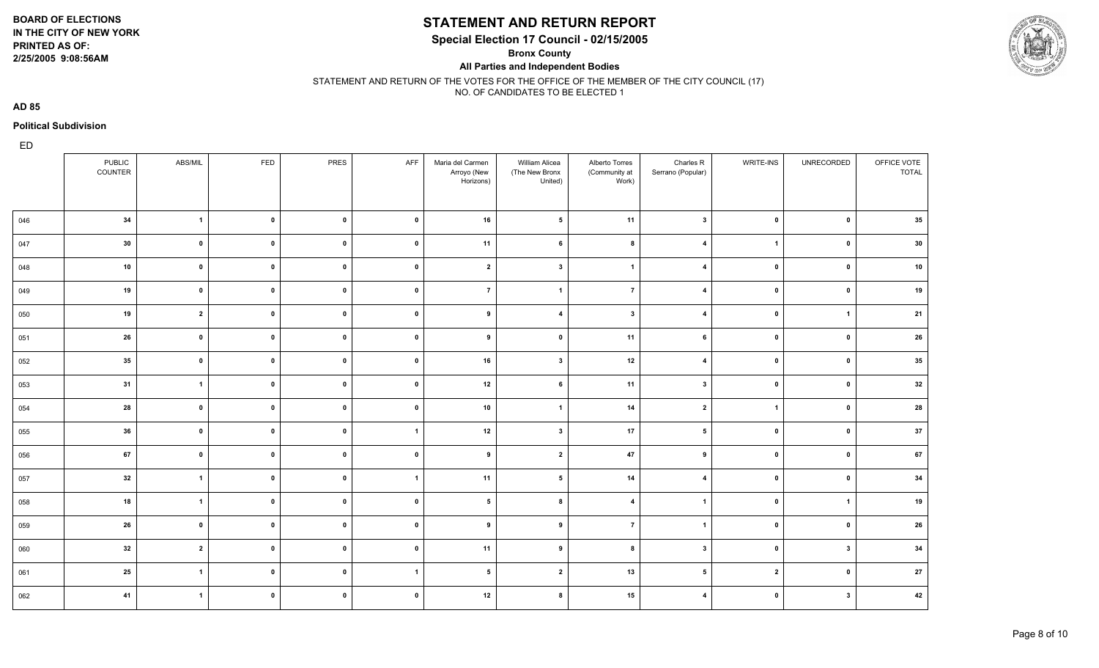**2/25/2005 9:08:56AM**

# **STATEMENT AND RETURN REPORT**

**Special Election 17 Council - 02/15/2005**

**Bronx County**

**All Parties and Independent Bodies**



#### STATEMENT AND RETURN OF THE VOTES FOR THE OFFICE OF THE MEMBER OF THE CITY COUNCIL (17) NO. OF CANDIDATES TO BE ELECTED 1

**AD 85**

#### **Political Subdivision**

|     | <b>PUBLIC</b><br>COUNTER | ABS/MIL        | FED          | PRES         | AFF            | Maria del Carmen<br>Arroyo (New<br>Horizons) | William Alicea<br>(The New Bronx<br>United) | Alberto Torres<br>(Community at<br>Work) | Charles R<br>Serrano (Popular) | WRITE-INS      | UNRECORDED              | OFFICE VOTE<br><b>TOTAL</b> |
|-----|--------------------------|----------------|--------------|--------------|----------------|----------------------------------------------|---------------------------------------------|------------------------------------------|--------------------------------|----------------|-------------------------|-----------------------------|
| 046 | 34                       | $\mathbf{1}$   | $\mathbf 0$  | $\mathbf{0}$ | $\mathbf 0$    | 16                                           | 5                                           | 11                                       | $\overline{\mathbf{3}}$        | $\mathbf{0}$   | $\mathbf{0}$            | 35                          |
| 047 | 30                       | $\mathbf 0$    | $\mathbf 0$  | $\mathbf{0}$ | $\mathbf 0$    | 11                                           | 6                                           | 8                                        | $\overline{4}$                 | $\overline{1}$ | 0                       | 30                          |
| 048 | 10                       | $\mathbf{0}$   | $\mathbf{0}$ | $\mathbf 0$  | $\pmb{0}$      | $\mathbf{2}$                                 | $\overline{\mathbf{3}}$                     | $\overline{1}$                           | $\overline{4}$                 | $\pmb{0}$      | $\overline{\mathbf{0}}$ | 10                          |
| 049 | 19                       | $\mathbf 0$    | $\mathbf 0$  | $\mathbf{0}$ | $\mathbf{0}$   | $\overline{7}$                               | $\overline{1}$                              | $\overline{7}$                           | $\overline{\mathbf{4}}$        | $\mathbf 0$    | $\mathbf 0$             | 19                          |
| 050 | 19                       | $\overline{2}$ | $\mathbf 0$  | $\mathbf{0}$ | $\mathbf 0$    | 9                                            | $\overline{4}$                              | $\mathbf{3}$                             | $\overline{4}$                 | $\mathbf 0$    | $\overline{\mathbf{1}}$ | 21                          |
| 051 | 26                       | $\mathbf{0}$   | $\mathbf 0$  | $\mathbf{0}$ | $\mathbf 0$    | 9                                            | $\mathbf 0$                                 | 11                                       | 6                              | $\mathbf 0$    | $\mathbf{0}$            | 26                          |
| 052 | 35                       | $\mathbf 0$    | $\mathbf{0}$ | $\mathbf{0}$ | $\mathbf 0$    | 16                                           | $\mathbf{3}$                                | 12                                       | $\overline{4}$                 | $\pmb{0}$      | $\overline{\mathbf{0}}$ | 35                          |
| 053 | 31                       | $\mathbf{1}$   | $\mathbf 0$  | $\pmb{0}$    | $\mathbf 0$    | 12                                           | $\bf 6$                                     | 11                                       | $\overline{\mathbf{3}}$        | $\mathbf 0$    | $\overline{\mathbf{0}}$ | 32                          |
| 054 | 28                       | $\mathbf 0$    | $\mathbf 0$  | $\mathbf 0$  | $\mathbf 0$    | 10                                           | $\overline{\mathbf{1}}$                     | 14                                       | $\overline{\mathbf{2}}$        | $\mathbf{1}$   | $\mathbf{0}$            | 28                          |
| 055 | 36                       | $\mathbf 0$    | $\mathbf 0$  | $\pmb{0}$    | $\overline{1}$ | 12                                           | 3                                           | 17                                       | 5                              | $\mathbf{0}$   | $\overline{\mathbf{0}}$ | 37                          |
| 056 | 67                       | $\mathbf 0$    | $\mathbf{0}$ | $\mathbf 0$  | $\mathbf 0$    | 9                                            | $\overline{2}$                              | 47                                       | 9                              | $\mathbf 0$    | $\mathbf{0}$            | 67                          |
| 057 | 32                       | $\mathbf{1}$   | $\mathbf 0$  | $\mathbf 0$  | $\overline{1}$ | 11                                           | $\sqrt{5}$                                  | 14                                       | $\overline{4}$                 | $\mathbf{0}$   | $\overline{\mathbf{0}}$ | 34                          |
| 058 | 18                       | $\overline{1}$ | $\mathbf{0}$ | $\mathbf 0$  | $\mathbf 0$    | 5                                            | 8                                           | $\overline{\mathbf{4}}$                  | $\overline{1}$                 | $\mathbf{0}$   | $\overline{1}$          | 19                          |
| 059 | 26                       | $\mathbf 0$    | $\mathbf{0}$ | $\pmb{0}$    | $\mathbf 0$    | 9                                            | 9                                           | $\overline{7}$                           | $\overline{1}$                 | $\mathbf 0$    | 0                       | 26                          |
| 060 | 32                       | $\overline{2}$ | $\mathbf{0}$ | $\mathbf 0$  | $\mathbf 0$    | 11                                           | 9                                           | 8                                        | $\overline{\mathbf{3}}$        | $\mathbf{0}$   | $\overline{\mathbf{3}}$ | 34                          |
| 061 | 25                       | $\mathbf{1}$   | $\mathbf 0$  | $\mathbf 0$  | $\overline{1}$ | $5\phantom{.0}$                              | $\overline{2}$                              | 13                                       | 5                              | $\overline{2}$ | 0                       | ${\bf 27}$                  |
| 062 | 41                       | $\mathbf{1}$   | $\mathbf 0$  | $\mathbf 0$  | $\mathbf 0$    | 12                                           | 8                                           | 15                                       | $\overline{4}$                 | $\pmb{0}$      | $\overline{\mathbf{3}}$ | 42                          |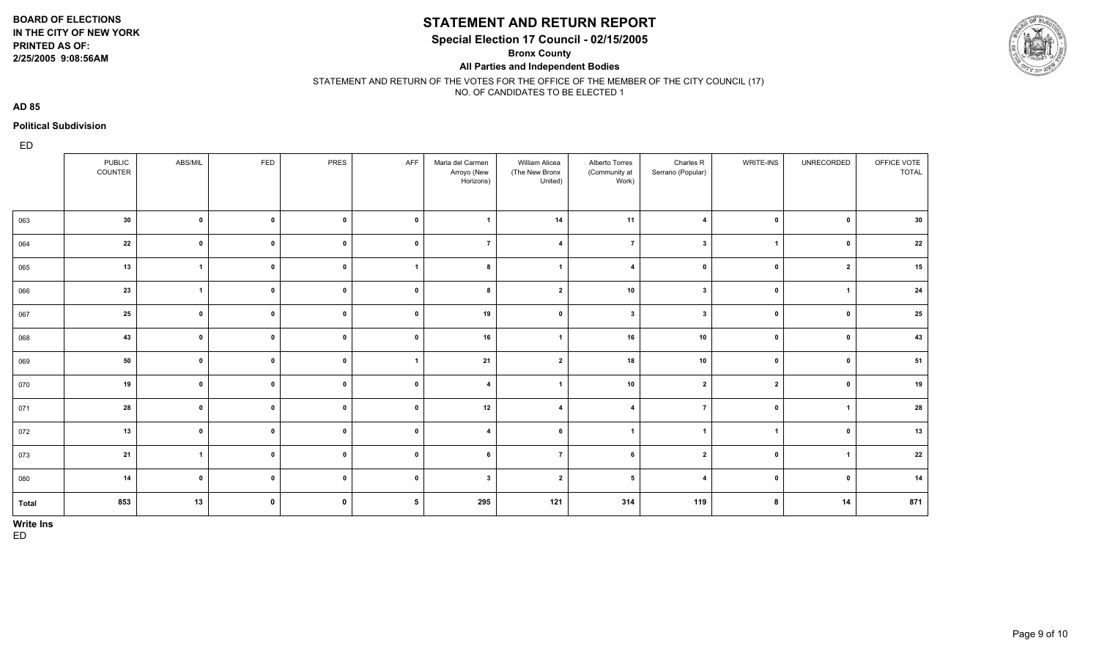**2/25/2005 9:08:56AM**

### **STATEMENT AND RETURN REPORT**

**Special Election 17 Council - 02/15/2005**

**Bronx County**

**All Parties and Independent Bodies**



STATEMENT AND RETURN OF THE VOTES FOR THE OFFICE OF THE MEMBER OF THE CITY COUNCIL (17) NO. OF CANDIDATES TO BE ELECTED 1

**AD 85**

#### **Political Subdivision**

ED

|       | PUBLIC<br>COUNTER | ABS/MIL        | FED         | PRES         | AFF             | Maria del Carmen<br>Arroyo (New<br>Horizons) | William Alicea<br>(The New Bronx<br>United) | Alberto Torres<br>(Community at<br>Work) | Charles R<br>Serrano (Popular) | <b>WRITE-INS</b>        | UNRECORDED     | OFFICE VOTE<br><b>TOTAL</b> |
|-------|-------------------|----------------|-------------|--------------|-----------------|----------------------------------------------|---------------------------------------------|------------------------------------------|--------------------------------|-------------------------|----------------|-----------------------------|
| 063   | 30                | $\mathbf 0$    | $\mathbf 0$ | $\pmb{0}$    | $\mathbf 0$     | $\overline{\mathbf{1}}$                      | 14                                          | 11                                       | $\overline{4}$                 | $\mathbf 0$             | $\mathbf{0}$   | 30                          |
| 064   | $\bf 22$          | $\mathbf 0$    | $\pmb{0}$   | $\mathbf 0$  | $\mathbf{0}$    | $\overline{ }$                               | $\overline{4}$                              | $\overline{7}$                           | $\overline{\mathbf{3}}$        | $\overline{1}$          | $\mathbf{0}$   | 22                          |
| 065   | 13                | $\overline{1}$ | $\pmb{0}$   | $\mathbf 0$  | $\mathbf{1}$    | 8                                            | $\overline{\mathbf{1}}$                     | $\overline{4}$                           | $\mathbf{0}$                   | $\mathbf{0}$            | $\overline{2}$ | 15                          |
| 066   | 23                | $\overline{1}$ | $\mathbf 0$ | $\mathbf{0}$ | $\mathbf 0$     | 8                                            | $\overline{2}$                              | 10                                       | $\overline{\mathbf{3}}$        | $\mathbf{0}$            | $\overline{1}$ | 24                          |
| 067   | 25                | $\mathbf 0$    | $\pmb{0}$   | $\mathbf 0$  | $\mathbf 0$     | 19                                           | $\mathbf 0$                                 | $\mathbf{3}$                             | $\mathbf{3}$                   | $\mathbf{0}$            | $\mathbf{0}$   | 25                          |
| 068   | 43                | $\mathbf 0$    | $\mathbf 0$ | $\mathbf 0$  | $\mathbf 0$     | 16                                           | $\overline{1}$                              | 16                                       | 10                             | $\mathbf 0$             | $\mathbf 0$    | 43                          |
| 069   | 50                | $\mathbf 0$    | $\mathbf 0$ | $\mathbf 0$  | $\mathbf{1}$    | 21                                           | $\overline{2}$                              | 18                                       | 10                             | $\mathbf 0$             | $\mathbf 0$    | 51                          |
| 070   | 19                | $\mathbf 0$    | $\mathbf 0$ | $\mathbf 0$  | $\mathbf 0$     | $\overline{\mathbf{4}}$                      | -1                                          | 10                                       | $\overline{2}$                 | $\overline{\mathbf{2}}$ | $\mathbf 0$    | 19                          |
| 071   | 28                | $\mathbf 0$    | $\mathbf 0$ | $\mathbf 0$  | $\mathbf 0$     | 12                                           | $\mathbf{4}$                                | $\overline{4}$                           | $\overline{7}$                 | $\mathbf{0}$            |                | 28                          |
| 072   | 13                | $\mathbf 0$    | $\mathbf 0$ | $\mathbf 0$  | $\pmb{0}$       | $\overline{\mathbf{4}}$                      | 6                                           | $\overline{\mathbf{1}}$                  | $\overline{1}$                 | $\overline{\mathbf{1}}$ | $\mathbf 0$    | 13                          |
| 073   | 21                | $\overline{1}$ | $\pmb{0}$   | $\mathbf 0$  | $\mathbf 0$     | 6                                            | $\overline{7}$                              | 6                                        | $\overline{2}$                 | $\mathbf{0}$            | $\overline{1}$ | 22                          |
| 080   | 14                | $\mathbf 0$    | $\pmb{0}$   | $\mathbf 0$  | $\pmb{0}$       | $\mathbf{3}$                                 | $\overline{2}$                              | 5                                        | $\overline{4}$                 | $\mathbf{0}$            | $\mathbf 0$    | 14                          |
| Total | 853               | 13             | $\mathbf 0$ | $\mathbf 0$  | $5\overline{5}$ | 295                                          | 121                                         | 314                                      | 119                            | 8                       | 14             | 871                         |

**Write Ins**